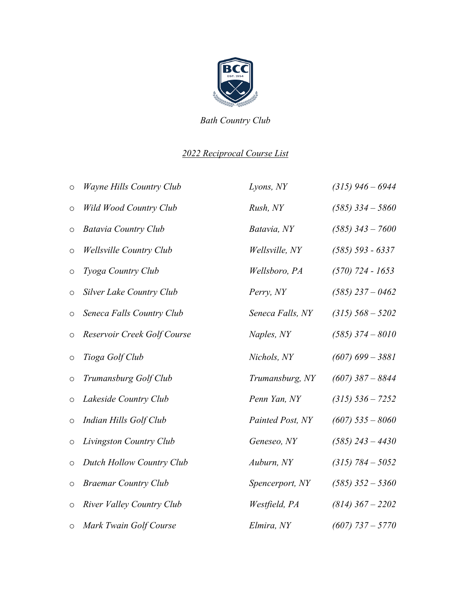

*Bath Country Club*

## *2022 Reciprocal Course List*

| $\circ$             | <b>Wayne Hills Country Club</b>  | Lyons, NY        | $(315)$ 946 – 6944 |
|---------------------|----------------------------------|------------------|--------------------|
| $\circ$             | Wild Wood Country Club           | Rush, NY         | $(585)$ 334 - 5860 |
| O                   | <b>Batavia Country Club</b>      | Batavia, NY      | $(585)$ 343 - 7600 |
| $\circ$             | <b>Wellsville Country Club</b>   | Wellsville, NY   | $(585)$ 593 - 6337 |
| $\circ$             | Tyoga Country Club               | Wellsboro, PA    | $(570)$ 724 - 1653 |
| $\circ$             | Silver Lake Country Club         | Perry, NY        | $(585)$ 237 - 0462 |
| O                   | Seneca Falls Country Club        | Seneca Falls, NY | $(315)$ 568 - 5202 |
| $\circ$             | Reservoir Creek Golf Course      | Naples, NY       | $(585)$ 374 - 8010 |
| $\circlearrowright$ | Tioga Golf Club                  | Nichols, NY      | $(607)$ 699 - 3881 |
| $\circ$             | Trumansburg Golf Club            | Trumansburg, NY  | $(607)$ 387 - 8844 |
| $\circ$             | Lakeside Country Club            | Penn Yan, NY     | $(315)$ 536 - 7252 |
| $\circ$             | Indian Hills Golf Club           | Painted Post, NY | $(607)$ 535 - 8060 |
| $\circ$             | Livingston Country Club          | Geneseo, NY      | $(585)$ 243 - 4430 |
| $\circ$             | <b>Dutch Hollow Country Club</b> | Auburn, NY       | $(315) 784 - 5052$ |
| $\circ$             | <b>Braemar Country Club</b>      | Spencerport, NY  | $(585)$ 352 - 5360 |
| $\circ$             | River Valley Country Club        | Westfield, PA    | $(814)$ 367 - 2202 |
| $\circ$             | Mark Twain Golf Course           | Elmira, NY       | $(607)$ 737 - 5770 |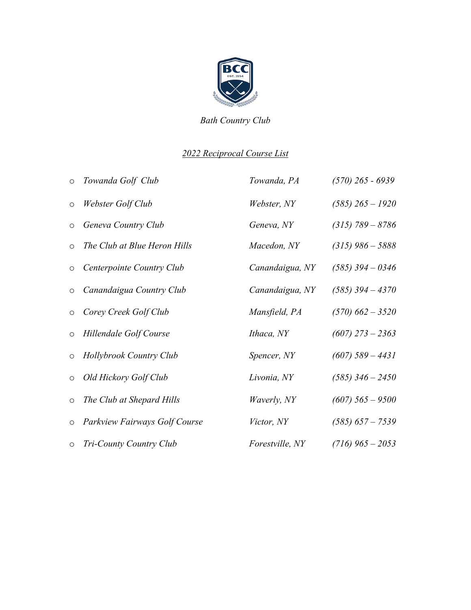

*Bath Country Club*

## *2022 Reciprocal Course List*

| $\circ$ | Towanda Golf Club                    | Towanda, PA            | $(570)$ 265 - 6939 |
|---------|--------------------------------------|------------------------|--------------------|
| $\circ$ | Webster Golf Club                    | Webster, NY            | $(585)$ 265 - 1920 |
| $\circ$ | Geneva Country Club                  | Geneva, NY             | $(315) 789 - 8786$ |
| $\circ$ | The Club at Blue Heron Hills         | Macedon, NY            | $(315)$ 986 - 5888 |
| $\circ$ | Centerpointe Country Club            | Canandaigua, NY        | $(585)$ 394 - 0346 |
| $\circ$ | Canandaigua Country Club             | Canandaigua, NY        | $(585)$ 394 - 4370 |
| $\circ$ | Corey Creek Golf Club                | Mansfield, PA          | $(570)$ 662 - 3520 |
| $\circ$ | Hillendale Golf Course               | Ithaca, NY             | $(607)$ 273 – 2363 |
| $\circ$ | Hollybrook Country Club              | Spencer, NY            | $(607)$ 589 – 4431 |
| $\circ$ | Old Hickory Golf Club                | Livonia, NY            | $(585)$ 346 - 2450 |
| $\circ$ | The Club at Shepard Hills            | <i>Waverly, NY</i>     | $(607)$ 565 - 9500 |
| $\circ$ | <b>Parkview Fairways Golf Course</b> | <i>Victor, NY</i>      | $(585)$ 657 - 7539 |
| $\circ$ | Tri-County Country Club              | <i>Forestville, NY</i> | $(716)$ 965 – 2053 |